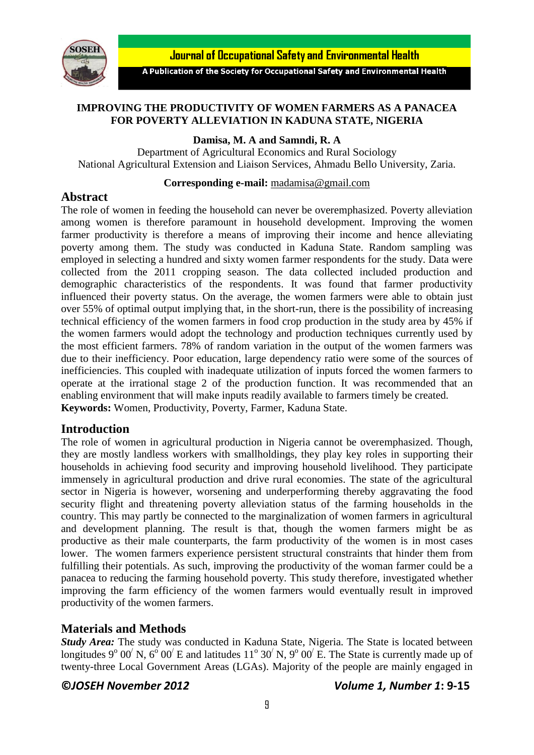

**Journal of Occupational Safety and Environmental Health** 

A Publication of the Society for Occupational Safety and Environmental Health

## **IMPROVING THE PRODUCTIVITY OF WOMEN FARMERS AS A PANACEA FOR POVERTY ALLEVIATION IN KADUNA STATE, NIGERIA**

**Damisa, M. A and Samndi, R. A**

Department of Agricultural Economics and Rural Sociology National Agricultural Extension and Liaison Services, Ahmadu Bello University, Zaria.

## **Corresponding e-mail:** [madamisa@gmail.com](mailto:madamisa@gmail.com)

# **Abstract**

The role of women in feeding the household can never be overemphasized. Poverty alleviation among women is therefore paramount in household development. Improving the women farmer productivity is therefore a means of improving their income and hence alleviating poverty among them. The study was conducted in Kaduna State. Random sampling was employed in selecting a hundred and sixty women farmer respondents for the study. Data were collected from the 2011 cropping season. The data collected included production and demographic characteristics of the respondents. It was found that farmer productivity influenced their poverty status. On the average, the women farmers were able to obtain just over 55% of optimal output implying that, in the short-run, there is the possibility of increasing technical efficiency of the women farmers in food crop production in the study area by 45% if the women farmers would adopt the technology and production techniques currently used by the most efficient farmers. 78% of random variation in the output of the women farmers was due to their inefficiency. Poor education, large dependency ratio were some of the sources of inefficiencies. This coupled with inadequate utilization of inputs forced the women farmers to operate at the irrational stage 2 of the production function. It was recommended that an enabling environment that will make inputs readily available to farmers timely be created. **Keywords:** Women, Productivity, Poverty, Farmer, Kaduna State.

# **Introduction**

The role of women in agricultural production in Nigeria cannot be overemphasized. Though, they are mostly landless workers with smallholdings, they play key roles in supporting their households in achieving food security and improving household livelihood. They participate immensely in agricultural production and drive rural economies. The state of the agricultural sector in Nigeria is however, worsening and underperforming thereby aggravating the food security flight and threatening poverty alleviation status of the farming households in the country. This may partly be connected to the marginalization of women farmers in agricultural and development planning. The result is that, though the women farmers might be as productive as their male counterparts, the farm productivity of the women is in most cases lower. The women farmers experience persistent structural constraints that hinder them from fulfilling their potentials. As such, improving the productivity of the woman farmer could be a panacea to reducing the farming household poverty. This study therefore, investigated whether improving the farm efficiency of the women farmers would eventually result in improved productivity of the women farmers.

# **Materials and Methods**

*Study Area:* The study was conducted in Kaduna State, Nigeria. The State is located between longitudes 9<sup>o</sup> 00<sup>'</sup> N, 6<sup>o</sup> 00<sup>'</sup> E and latitudes 11<sup>o</sup> 30<sup>'</sup> N, 9<sup>o</sup> 00<sup>'</sup> E. The State is currently made up of twenty-three Local Government Areas (LGAs). Majority of the people are mainly engaged in

## **©***JOSEH November 2012 Volume 1, Number 1***: 9-15**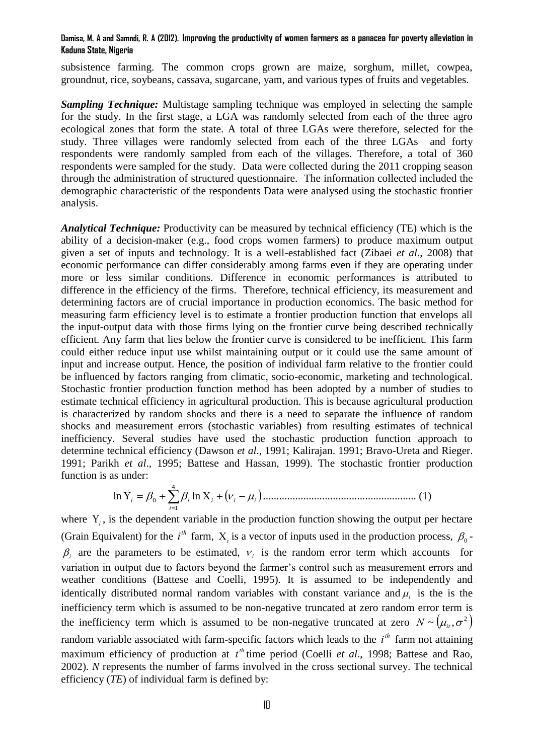### **Damisa, M. A and Samndi, R. A (2012). Improving the productivity of women farmers as a panacea for poverty alleviation in Kaduna State, Nigeria**

subsistence farming. The common crops grown are maize, sorghum, millet, cowpea, groundnut, rice, soybeans, cassava, sugarcane, yam, and various types of fruits and vegetables.

*Sampling Technique:* Multistage sampling technique was employed in selecting the sample for the study. In the first stage, a LGA was randomly selected from each of the three agro ecological zones that form the state. A total of three LGAs were therefore, selected for the study. Three villages were randomly selected from each of the three LGAs and forty respondents were randomly sampled from each of the villages. Therefore, a total of 360 respondents were sampled for the study. Data were collected during the 2011 cropping season through the administration of structured questionnaire. The information collected included the demographic characteristic of the respondents Data were analysed using the stochastic frontier analysis.

*Analytical Technique:* Productivity can be measured by technical efficiency (TE) which is the ability of a decision-maker (e.g., food crops women farmers) to produce maximum output given a set of inputs and technology. It is a well-established fact (Zibaei *et al*., 2008) that economic performance can differ considerably among farms even if they are operating under more or less similar conditions. Difference in economic performances is attributed to difference in the efficiency of the firms. Therefore, technical efficiency, its measurement and determining factors are of crucial importance in production economics. The basic method for measuring farm efficiency level is to estimate a frontier production function that envelops all the input-output data with those firms lying on the frontier curve being described technically efficient. Any farm that lies below the frontier curve is considered to be inefficient. This farm could either reduce input use whilst maintaining output or it could use the same amount of input and increase output. Hence, the position of individual farm relative to the frontier could be influenced by factors ranging from climatic, socio-economic, marketing and technological. Stochastic frontier production function method has been adopted by a number of studies to estimate technical efficiency in agricultural production. This is because agricultural production is characterized by random shocks and there is a need to separate the influence of random shocks and measurement errors (stochastic variables) from resulting estimates of technical inefficiency. Several studies have used the stochastic production function approach to determine technical efficiency (Dawson *et al*., 1991; Kalirajan. 1991; Bravo-Ureta and Rieger. 1991; Parikh *et al*., 1995; Battese and Hassan, 1999). The stochastic frontier production function is as under:

 4 1 0 ln ln *i <sup>i</sup> <sup>i</sup> <sup>i</sup> <sup>i</sup> <sup>i</sup>* ......................................................... (1)

where  $Y_i$ , is the dependent variable in the production function showing the output per hectare (Grain Equivalent) for the  $i^{th}$  farm,  $X_i$  is a vector of inputs used in the production process,  $\beta_0$ - $\beta$  are the parameters to be estimated,  $v_i$  is the random error term which accounts for variation in output due to factors beyond the farmer's control such as measurement errors and weather conditions (Battese and Coelli, 1995). It is assumed to be independently and identically distributed normal random variables with constant variance and  $\mu_i$  is the is the inefficiency term which is assumed to be non-negative truncated at zero random error term is the inefficiency term which is assumed to be non-negative truncated at zero  $N \sim (\mu_{\mu}, \sigma^2)$ random variable associated with farm-specific factors which leads to the *i*<sup>th</sup> farm not attaining maximum efficiency of production at  $t^{\text{th}}$  time period (Coelli *et al.*, 1998; Battese and Rao, 2002). *N* represents the number of farms involved in the cross sectional survey. The technical efficiency (*TE*) of individual farm is defined by: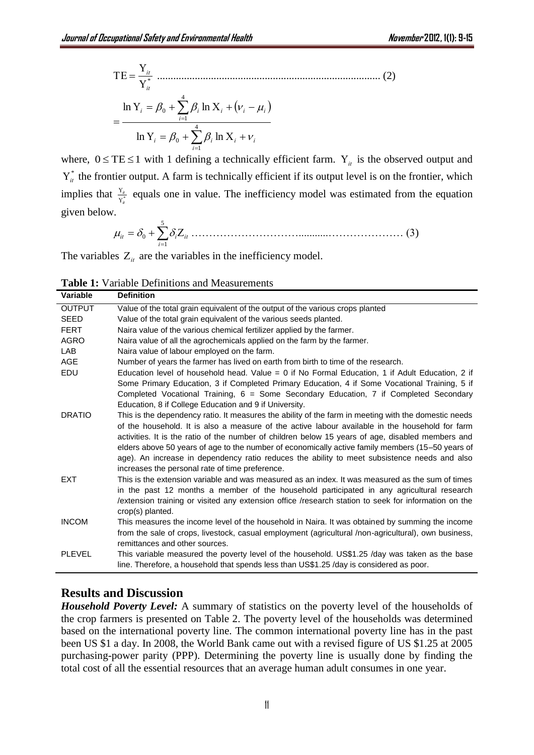\* *it it* ................................................................................... (2) <sup>4</sup> 1 0 4 1 0 ln ln ln ln *i i i i i i i i i i i* 

where,  $0 \leq TE \leq 1$  with 1 defining a technically efficient farm.  $Y_{it}$  is the observed output and  $Y_{it}^*$  the frontier output. A farm is technically efficient if its output level is on the frontier, which implies that  $\frac{Y_{it}}{Y_{it}^*}$  $\frac{\mathbf{r}_{it}}{\mathbf{Y}_{it}^*}$  $\frac{Y_u}{Y_u}$  equals one in value. The inefficiency model was estimated from the equation given below.

 5 1 0 *i it <sup>i</sup> it* …………………………...........………………… (3)

The variables  $Z_{it}$  are the variables in the inefficiency model.

| <b>Table 1:</b> Variable Definitions and Measurements |
|-------------------------------------------------------|
|-------------------------------------------------------|

| Variable      | <b>Definition</b>                                                                                                                                                                                                                                                                                                                                                                                                                                           |
|---------------|-------------------------------------------------------------------------------------------------------------------------------------------------------------------------------------------------------------------------------------------------------------------------------------------------------------------------------------------------------------------------------------------------------------------------------------------------------------|
| <b>OUTPUT</b> | Value of the total grain equivalent of the output of the various crops planted                                                                                                                                                                                                                                                                                                                                                                              |
| <b>SEED</b>   | Value of the total grain equivalent of the various seeds planted.                                                                                                                                                                                                                                                                                                                                                                                           |
| <b>FERT</b>   | Naira value of the various chemical fertilizer applied by the farmer.                                                                                                                                                                                                                                                                                                                                                                                       |
| <b>AGRO</b>   | Naira value of all the agrochemicals applied on the farm by the farmer.                                                                                                                                                                                                                                                                                                                                                                                     |
| LAB           | Naira value of labour employed on the farm.                                                                                                                                                                                                                                                                                                                                                                                                                 |
| <b>AGE</b>    | Number of years the farmer has lived on earth from birth to time of the research.                                                                                                                                                                                                                                                                                                                                                                           |
| EDU           | Education level of household head. Value = 0 if No Formal Education, 1 if Adult Education, 2 if                                                                                                                                                                                                                                                                                                                                                             |
|               | Some Primary Education, 3 if Completed Primary Education, 4 if Some Vocational Training, 5 if<br>Completed Vocational Training, 6 = Some Secondary Education, 7 if Completed Secondary<br>Education, 8 if College Education and 9 if University.                                                                                                                                                                                                            |
| <b>DRATIO</b> | This is the dependency ratio. It measures the ability of the farm in meeting with the domestic needs                                                                                                                                                                                                                                                                                                                                                        |
|               | of the household. It is also a measure of the active labour available in the household for farm<br>activities. It is the ratio of the number of children below 15 years of age, disabled members and<br>elders above 50 years of age to the number of economically active family members (15-50 years of<br>age). An increase in dependency ratio reduces the ability to meet subsistence needs and also<br>increases the personal rate of time preference. |
| <b>EXT</b>    | This is the extension variable and was measured as an index. It was measured as the sum of times<br>in the past 12 months a member of the household participated in any agricultural research<br>extension training or visited any extension office /research station to seek for information on the<br>crop(s) planted.                                                                                                                                    |
| <b>INCOM</b>  | This measures the income level of the household in Naira. It was obtained by summing the income                                                                                                                                                                                                                                                                                                                                                             |
|               | from the sale of crops, livestock, casual employment (agricultural /non-agricultural), own business,<br>remittances and other sources.                                                                                                                                                                                                                                                                                                                      |
| <b>PLEVEL</b> | This variable measured the poverty level of the household. US\$1.25 /day was taken as the base<br>line. Therefore, a household that spends less than US\$1.25 /day is considered as poor.                                                                                                                                                                                                                                                                   |

## **Results and Discussion**

*Household Poverty Level:* A summary of statistics on the poverty level of the households of the crop farmers is presented on Table 2. The poverty level of the households was determined based on the international poverty line. The common international poverty line has in the past been US \$1 a day. In 2008, the World Bank came out with a revised figure of US \$1.25 at 2005 purchasing-power parity (PPP). Determining the poverty line is usually done by finding the total cost of all the essential resources that an average human adult consumes in one year.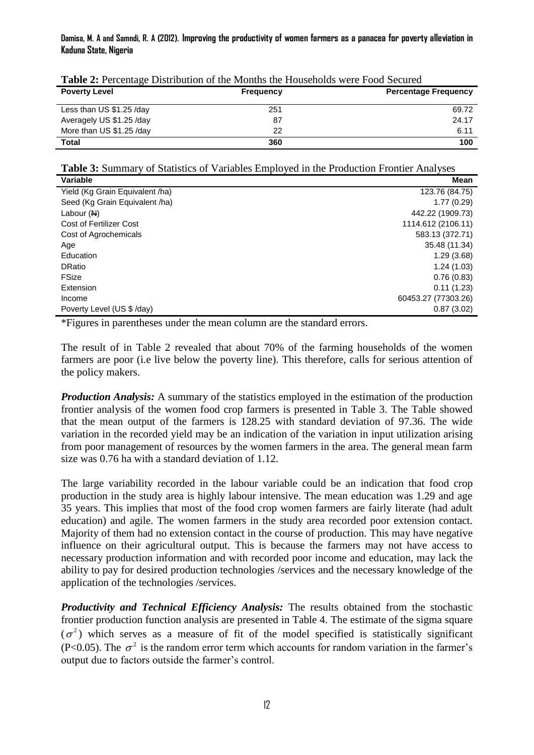#### **Damisa, M. A and Samndi, R. A (2012). Improving the productivity of women farmers as a panacea for poverty alleviation in Kaduna State, Nigeria**

| <b>Poverty Level</b>     | <b>Frequency</b> | <b>Percentage Frequency</b> |  |  |
|--------------------------|------------------|-----------------------------|--|--|
| Less than US \$1.25 /day | 251              | 69.72                       |  |  |
| Averagely US \$1.25 /day | 87               | 24.17                       |  |  |
| More than US \$1.25 /day | 22               | 6.11                        |  |  |
| Total                    | 360              | 100                         |  |  |

**Table 2:** Percentage Distribution of the Months the Households were Food Secured

**Table 3:** Summary of Statistics of Variables Employed in the Production Frontier Analyses

| Variable                        | Mean                |
|---------------------------------|---------------------|
| Yield (Kg Grain Equivalent /ha) | 123.76 (84.75)      |
| Seed (Kg Grain Equivalent /ha)  | 1.77(0.29)          |
| Labour $(M)$                    | 442.22 (1909.73)    |
| <b>Cost of Fertilizer Cost</b>  | 1114.612 (2106.11)  |
| Cost of Agrochemicals           | 583.13 (372.71)     |
| Age                             | 35.48 (11.34)       |
| Education                       | 1.29(3.68)          |
| <b>DRatio</b>                   | 1.24(1.03)          |
| FSize                           | 0.76(0.83)          |
| Extension                       | 0.11(1.23)          |
| Income                          | 60453.27 (77303.26) |
| Poverty Level (US \$ /day)      | 0.87(3.02)          |

\*Figures in parentheses under the mean column are the standard errors.

The result of in Table 2 revealed that about 70% of the farming households of the women farmers are poor (i.e live below the poverty line). This therefore, calls for serious attention of the policy makers.

*Production Analysis:* A summary of the statistics employed in the estimation of the production frontier analysis of the women food crop farmers is presented in Table 3. The Table showed that the mean output of the farmers is 128.25 with standard deviation of 97.36. The wide variation in the recorded yield may be an indication of the variation in input utilization arising from poor management of resources by the women farmers in the area. The general mean farm size was 0.76 ha with a standard deviation of 1.12.

The large variability recorded in the labour variable could be an indication that food crop production in the study area is highly labour intensive. The mean education was 1.29 and age 35 years. This implies that most of the food crop women farmers are fairly literate (had adult education) and agile. The women farmers in the study area recorded poor extension contact. Majority of them had no extension contact in the course of production. This may have negative influence on their agricultural output. This is because the farmers may not have access to necessary production information and with recorded poor income and education, may lack the ability to pay for desired production technologies /services and the necessary knowledge of the application of the technologies /services.

*Productivity and Technical Efficiency Analysis:* The results obtained from the stochastic frontier production function analysis are presented in Table 4. The estimate of the sigma square  $(\sigma^2)$  which serves as a measure of fit of the model specified is statistically significant (P<0.05). The  $\sigma^2$  is the random error term which accounts for random variation in the farmer's output due to factors outside the farmer's control.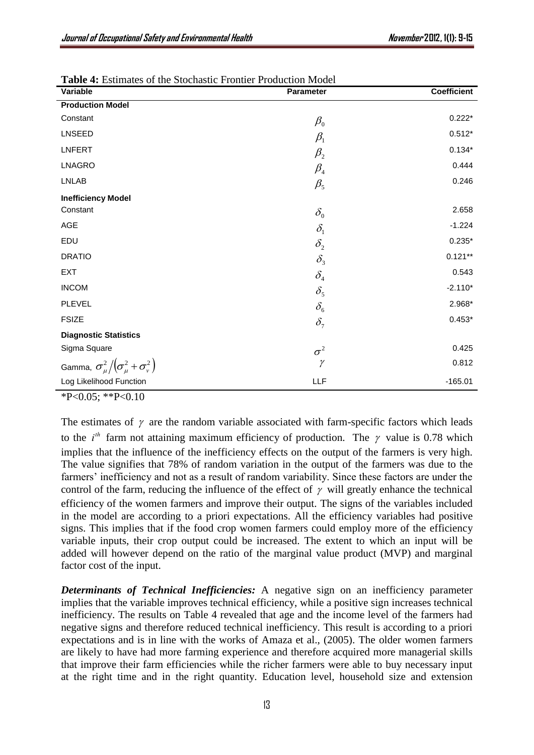| Variable                                                | <b>Parameter</b>                | <b>Coefficient</b> |
|---------------------------------------------------------|---------------------------------|--------------------|
| <b>Production Model</b>                                 |                                 |                    |
| Constant                                                | $\beta_0$                       | $0.222*$           |
| LNSEED                                                  | $\beta_1$                       | $0.512*$           |
| <b>LNFERT</b>                                           | $\beta_{2}$                     | $0.134*$           |
| LNAGRO                                                  | $\beta_{\scriptscriptstyle 4}$  | 0.444              |
| <b>LNLAB</b>                                            | $\beta_{5}$                     | 0.246              |
| <b>Inefficiency Model</b>                               |                                 |                    |
| Constant                                                | $\delta_{\scriptscriptstyle 0}$ | 2.658              |
| AGE                                                     | $\delta_{\rm i}$                | $-1.224$           |
| EDU                                                     | $\delta_{2}$                    | $0.235*$           |
| <b>DRATIO</b>                                           | $\delta_{\rm i}$                | $0.121**$          |
| <b>EXT</b>                                              | $\delta_{\scriptscriptstyle 4}$ | 0.543              |
| <b>INCOM</b>                                            | $\delta_{\rm s}$                | $-2.110*$          |
| <b>PLEVEL</b>                                           | $\delta_{\scriptscriptstyle 6}$ | 2.968*             |
| <b>FSIZE</b>                                            | $\delta_7$                      | $0.453*$           |
| <b>Diagnostic Statistics</b>                            |                                 |                    |
| Sigma Square                                            | $\sigma^2$                      | 0.425              |
| Gamma, $\sigma_{\mu}^2/(\sigma_{\mu}^2+\sigma_{\nu}^2)$ | $\gamma$                        | 0.812              |
| Log Likelihood Function                                 | LLF                             | $-165.01$          |

**Table 4:** Estimates of the Stochastic Frontier Production Model

 $*P<0.05$ ;  $*P<0.10$ 

The estimates of  $\gamma$  are the random variable associated with farm-specific factors which leads to the  $i^{th}$  farm not attaining maximum efficiency of production. The  $\gamma$  value is 0.78 which implies that the influence of the inefficiency effects on the output of the farmers is very high. The value signifies that 78% of random variation in the output of the farmers was due to the farmers' inefficiency and not as a result of random variability. Since these factors are under the control of the farm, reducing the influence of the effect of  $\gamma$  will greatly enhance the technical efficiency of the women farmers and improve their output. The signs of the variables included in the model are according to a priori expectations. All the efficiency variables had positive signs. This implies that if the food crop women farmers could employ more of the efficiency variable inputs, their crop output could be increased. The extent to which an input will be added will however depend on the ratio of the marginal value product (MVP) and marginal factor cost of the input.

*Determinants of Technical Inefficiencies:* A negative sign on an inefficiency parameter implies that the variable improves technical efficiency, while a positive sign increases technical inefficiency. The results on Table 4 revealed that age and the income level of the farmers had negative signs and therefore reduced technical inefficiency. This result is according to a priori expectations and is in line with the works of Amaza et al., (2005). The older women farmers are likely to have had more farming experience and therefore acquired more managerial skills that improve their farm efficiencies while the richer farmers were able to buy necessary input at the right time and in the right quantity. Education level, household size and extension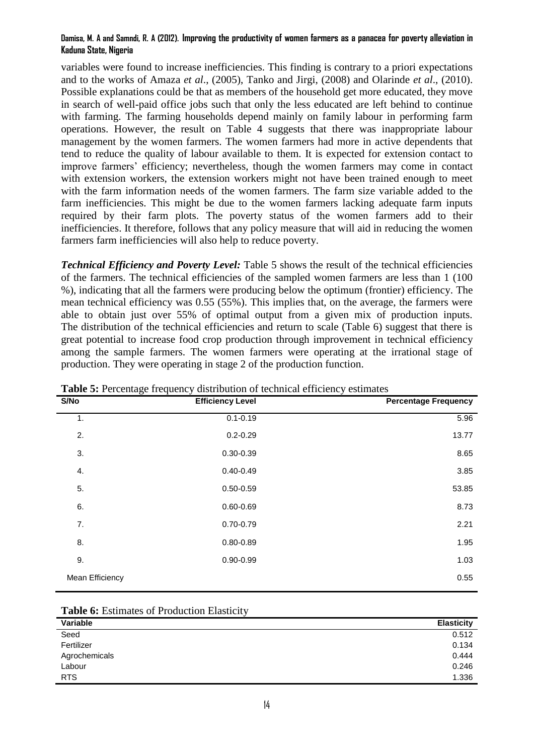### **Damisa, M. A and Samndi, R. A (2012). Improving the productivity of women farmers as a panacea for poverty alleviation in Kaduna State, Nigeria**

variables were found to increase inefficiencies. This finding is contrary to a priori expectations and to the works of Amaza *et al*., (2005), Tanko and Jirgi, (2008) and Olarinde *et al*., (2010). Possible explanations could be that as members of the household get more educated, they move in search of well-paid office jobs such that only the less educated are left behind to continue with farming. The farming households depend mainly on family labour in performing farm operations. However, the result on Table 4 suggests that there was inappropriate labour management by the women farmers. The women farmers had more in active dependents that tend to reduce the quality of labour available to them. It is expected for extension contact to improve farmers' efficiency; nevertheless, though the women farmers may come in contact with extension workers, the extension workers might not have been trained enough to meet with the farm information needs of the women farmers. The farm size variable added to the farm inefficiencies. This might be due to the women farmers lacking adequate farm inputs required by their farm plots. The poverty status of the women farmers add to their inefficiencies. It therefore, follows that any policy measure that will aid in reducing the women farmers farm inefficiencies will also help to reduce poverty.

*Technical Efficiency and Poverty Level:* Table 5 shows the result of the technical efficiencies of the farmers. The technical efficiencies of the sampled women farmers are less than 1 (100 %), indicating that all the farmers were producing below the optimum (frontier) efficiency. The mean technical efficiency was 0.55 (55%). This implies that, on the average, the farmers were able to obtain just over 55% of optimal output from a given mix of production inputs. The distribution of the technical efficiencies and return to scale (Table 6) suggest that there is great potential to increase food crop production through improvement in technical efficiency among the sample farmers. The women farmers were operating at the irrational stage of production. They were operating in stage 2 of the production function.

| S/No            | <b>Efficiency Level</b> | <b>Percentage Frequency</b> |
|-----------------|-------------------------|-----------------------------|
| 1.              | $0.1 - 0.19$            | 5.96                        |
| 2.              | $0.2 - 0.29$            | 13.77                       |
| 3.              | $0.30 - 0.39$           | 8.65                        |
| 4.              | $0.40 - 0.49$           | 3.85                        |
| 5.              | $0.50 - 0.59$           | 53.85                       |
| 6.              | $0.60 - 0.69$           | 8.73                        |
| 7.              | $0.70 - 0.79$           | 2.21                        |
| 8.              | $0.80 - 0.89$           | 1.95                        |
| 9.              | $0.90 - 0.99$           | 1.03                        |
| Mean Efficiency |                         | 0.55                        |
|                 |                         |                             |

**Table 5:** Percentage frequency distribution of technical efficiency estimates

| Variable      | <b>Elasticity</b> |
|---------------|-------------------|
| Seed          | 0.512             |
| Fertilizer    | 0.134             |
| Agrochemicals | 0.444             |
| Labour        | 0.246             |
| <b>RTS</b>    | 1.336             |